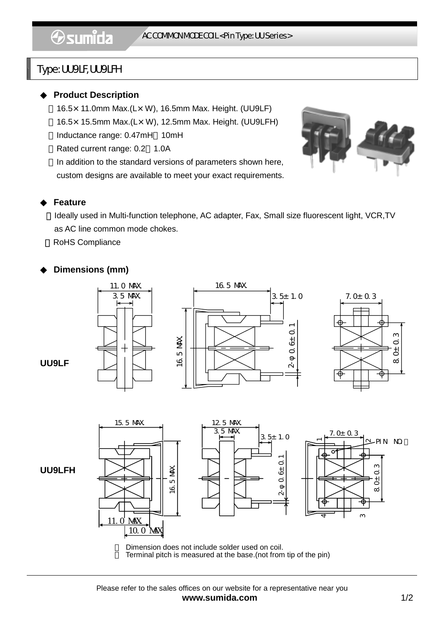I

# Type: UU9LF, UU9LFH

#### **Product Description**

16.5 $\times$  11.0mm Max.(L $\times$  W), 16.5mm Max. Height. (UU9LF) 16.5×15.5mm Max.(L×W), 12.5mm Max. Height. (UU9LFH) Inductance range: 0.47mH 10mH Rated current range: 0.2 1.0A In addition to the standard versions of parameters shown here, custom designs are available to meet your exact requirements.



### **Feature**

**Ideally used in Multi-function telephone, AC adapter, Fax, Small size fluorescent light, VCR,TV** as AC line common mode chokes.

RoHS Compliance

### **Dimensions (mm)**



 Dimension does not include solder used on coil. Terminal pitch is measured at the base.(not from tip of the pin)